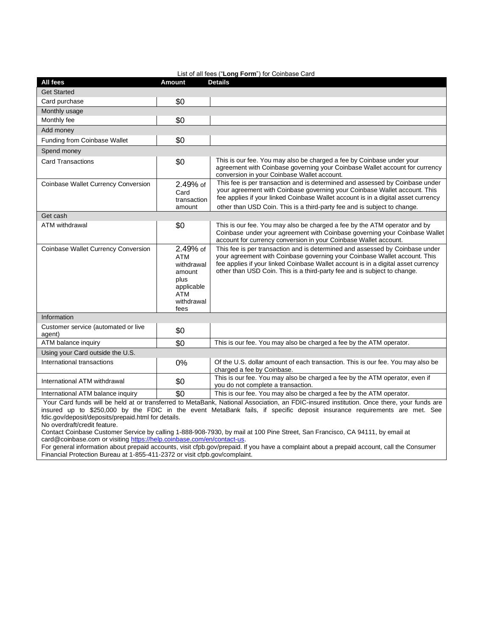| List of all fees ("Long Form") for Coinbase Card |                                                                                                   |                                                                                                                                                                                                                                                                                                                            |
|--------------------------------------------------|---------------------------------------------------------------------------------------------------|----------------------------------------------------------------------------------------------------------------------------------------------------------------------------------------------------------------------------------------------------------------------------------------------------------------------------|
| All fees                                         | <b>Amount</b>                                                                                     | <b>Details</b>                                                                                                                                                                                                                                                                                                             |
| <b>Get Started</b>                               |                                                                                                   |                                                                                                                                                                                                                                                                                                                            |
| Card purchase                                    | \$0                                                                                               |                                                                                                                                                                                                                                                                                                                            |
| Monthly usage                                    |                                                                                                   |                                                                                                                                                                                                                                                                                                                            |
| Monthly fee                                      | \$0                                                                                               |                                                                                                                                                                                                                                                                                                                            |
| Add money                                        |                                                                                                   |                                                                                                                                                                                                                                                                                                                            |
| Funding from Coinbase Wallet                     | \$0                                                                                               |                                                                                                                                                                                                                                                                                                                            |
| Spend money                                      |                                                                                                   |                                                                                                                                                                                                                                                                                                                            |
| <b>Card Transactions</b>                         | \$0                                                                                               | This is our fee. You may also be charged a fee by Coinbase under your<br>agreement with Coinbase governing your Coinbase Wallet account for currency<br>conversion in your Coinbase Wallet account.                                                                                                                        |
| Coinbase Wallet Currency Conversion              | 2.49% of<br>Card<br>transaction                                                                   | This fee is per transaction and is determined and assessed by Coinbase under<br>your agreement with Coinbase governing your Coinbase Wallet account. This<br>fee applies if your linked Coinbase Wallet account is in a digital asset currency                                                                             |
| Get cash                                         | amount                                                                                            | other than USD Coin. This is a third-party fee and is subject to change.                                                                                                                                                                                                                                                   |
| <b>ATM</b> withdrawal                            | \$0                                                                                               | This is our fee. You may also be charged a fee by the ATM operator and by<br>Coinbase under your agreement with Coinbase governing your Coinbase Wallet<br>account for currency conversion in your Coinbase Wallet account.                                                                                                |
| Coinbase Wallet Currency Conversion              | 2.49% of<br><b>ATM</b><br>withdrawal<br>amount<br>plus<br>applicable<br>ATM<br>withdrawal<br>fees | This fee is per transaction and is determined and assessed by Coinbase under<br>your agreement with Coinbase governing your Coinbase Wallet account. This<br>fee applies if your linked Coinbase Wallet account is in a digital asset currency<br>other than USD Coin. This is a third-party fee and is subject to change. |
| Information                                      |                                                                                                   |                                                                                                                                                                                                                                                                                                                            |
| Customer service (automated or live<br>agent)    | \$0                                                                                               |                                                                                                                                                                                                                                                                                                                            |
| ATM balance inquiry                              | \$0                                                                                               | This is our fee. You may also be charged a fee by the ATM operator.                                                                                                                                                                                                                                                        |
| Using your Card outside the U.S.                 |                                                                                                   |                                                                                                                                                                                                                                                                                                                            |
| International transactions                       | 0%                                                                                                | Of the U.S. dollar amount of each transaction. This is our fee. You may also be<br>charged a fee by Coinbase.                                                                                                                                                                                                              |
| International ATM withdrawal                     | \$0                                                                                               | This is our fee. You may also be charged a fee by the ATM operator, even if<br>you do not complete a transaction.                                                                                                                                                                                                          |
| International ATM balance inquiry                | \$0                                                                                               | This is our fee. You may also be charged a fee by the ATM operator.                                                                                                                                                                                                                                                        |

Your Card funds will be held at or transferred to MetaBank, National Association, an FDIC-insured institution. Once there, your funds are insured up to \$250,000 by the FDIC in the event MetaBank fails, if specific deposit insurance requirements are met. See fdic.gov/deposit/deposits/prepaid.html for details.

No overdraft/credit feature.

Contact Coinbase Customer Service by calling 1-888-908-7930, by mail at 100 Pine Street, San Francisco, CA 94111, by email at [card@coinbase.com](mailto:card@coinbase.com) or visiting https://help.coinbase.com/en/contact-us.

For general information about prepaid accounts, visit cfpb.gov/prepaid. If you have a complaint about a prepaid account, call the Consumer Financial Protection Bureau at 1-855-411-2372 or visit cfpb.gov/complaint.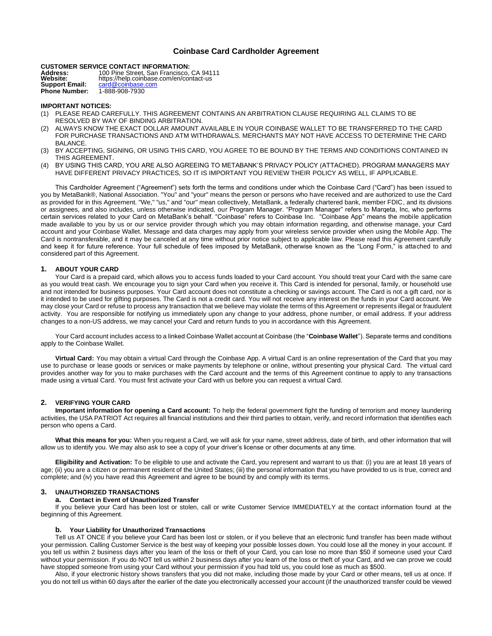# **Coinbase Card Cardholder Agreement**

**CUSTOMER SERVICE CONTACT INFORMATION:**

| Address:<br><b>Website:</b> | 100 Pine Street, San Francisco, CA 94111                     |
|-----------------------------|--------------------------------------------------------------|
| <b>Support Email:</b>       | https://help.coinbase.com/en/contact-us<br>card@coinbase.com |
| <b>Phone Number:</b>        | 1-888-908-7930                                               |

## **IMPORTANT NOTICES:**

- (1) PLEASE READ CAREFULLY. THIS AGREEMENT CONTAINS AN ARBITRATION CLAUSE REQUIRING ALL CLAIMS TO BE RESOLVED BY WAY OF BINDING ARBITRATION.
- (2) ALWAYS KNOW THE EXACT DOLLAR AMOUNT AVAILABLE IN YOUR COINBASE WALLET TO BE TRANSFERRED TO THE CARD FOR PURCHASE TRANSACTIONS AND ATM WITHDRAWALS. MERCHANTS MAY NOT HAVE ACCESS TO DETERMINE THE CARD BALANCE.
- (3) BY ACCEPTING, SIGNING, OR USING THIS CARD, YOU AGREE TO BE BOUND BY THE TERMS AND CONDITIONS CONTAINED IN THIS AGREEMENT.
- (4) BY USING THIS CARD, YOU ARE ALSO AGREEING TO METABANK'S PRIVACY POLICY (ATTACHED). PROGRAM MANAGERS MAY HAVE DIFFERENT PRIVACY PRACTICES, SO IT IS IMPORTANT YOU REVIEW THEIR POLICY AS WELL, IF APPLICABLE.

This Cardholder Agreement ("Agreement") sets forth the terms and conditions under which the Coinbase Card ("Card") has been issued to you by MetaBank®, National Association. "You" and "your" means the person or persons who have received and are authorized to use the Card as provided for in this Agreement. "We," "us," and "our" mean collectively, MetaBank, a federally chartered bank, member FDIC, and its divisions or assignees, and also includes, unless otherwise indicated, our Program Manager. "Program Manager" refers to Marqeta, Inc, who performs certain services related to your Card on MetaBank's behalf. "Coinbase" refers to Coinbase Inc. "Coinbase App" means the mobile application made available to you by us or our service provider through which you may obtain information regarding, and otherwise manage, your Card account and your Coinbase Wallet. Message and data charges may apply from your wireless service provider when using the Mobile App. The Card is nontransferable, and it may be canceled at any time without prior notice subject to applicable law. Please read this Agreement carefully and keep it for future reference. Your full schedule of fees imposed by MetaBank, otherwise known as the "Long Form," is attached to and considered part of this Agreement.

# **1. ABOUT YOUR CARD**

Your Card is a prepaid card, which allows you to access funds loaded to your Card account. You should treat your Card with the same care as you would treat cash. We encourage you to sign your Card when you receive it. This Card is intended for personal, family, or household use and not intended for business purposes. Your Card account does not constitute a checking or savings account. The Card is not a gift card, nor is it intended to be used for gifting purposes. The Card is not a credit card. You will not receive any interest on the funds in your Card account. We may close your Card or refuse to process any transaction that we believe may violate the terms of this Agreement or represents illegal or fraudulent activity. You are responsible for notifying us immediately upon any change to your address, phone number, or email address. If your address changes to a non-US address, we may cancel your Card and return funds to you in accordance with this Agreement.

Your Card account includes access to a linked Coinbase Wallet account at Coinbase (the "**Coinbase Wallet**"). Separate terms and conditions apply to the Coinbase Wallet.

**Virtual Card:** You may obtain a virtual Card through the Coinbase App. A virtual Card is an online representation of the Card that you may use to purchase or lease goods or services or make payments by telephone or online, without presenting your physical Card. The virtual card provides another way for you to make purchases with the Card account and the terms of this Agreement continue to apply to any transactions made using a virtual Card. You must first activate your Card with us before you can request a virtual Card.

# **2. VERIFYING YOUR CARD**

**Important information for opening a Card account:** To help the federal government fight the funding of terrorism and money laundering activities, the USA PATRIOT Act requires all financial institutions and their third parties to obtain, verify, and record information that identifies each person who opens a Card.

**What this means for you:** When you request a Card, we will ask for your name, street address, date of birth, and other information that will allow us to identify you. We may also ask to see a copy of your driver's license or other documents at any time.

**Eligibility and Activation:** To be eligible to use and activate the Card, you represent and warrant to us that: (i) you are at least 18 years of age; (ii) you are a citizen or permanent resident of the United States; (iii) the personal information that you have provided to us is true, correct and complete; and (iv) you have read this Agreement and agree to be bound by and comply with its terms.

# **3. UNAUTHORIZED TRANSACTIONS**

#### **a. Contact in Event of Unauthorized Transfer**

If you believe your Card has been lost or stolen, call or write Customer Service IMMEDIATELY at the contact information found at the beginning of this Agreement.

# **b. Your Liability for Unauthorized Transactions**

Tell us AT ONCE if you believe your Card has been lost or stolen, or if you believe that an electronic fund transfer has been made without your permission. Calling Customer Service is the best way of keeping your possible losses down. You could lose all the money in your account. If you tell us within 2 business days after you learn of the loss or theft of your Card, you can lose no more than \$50 if someone used your Card without your permission. If you do NOT tell us within 2 business days after you learn of the loss or theft of your Card, and we can prove we could have stopped someone from using your Card without your permission if you had told us, you could lose as much as \$500.

Also, if your electronic history shows transfers that you did not make, including those made by your Card or other means, tell us at once. If you do not tell us within 60 days after the earlier of the date you electronically accessed your account (if the unauthorized transfer could be viewed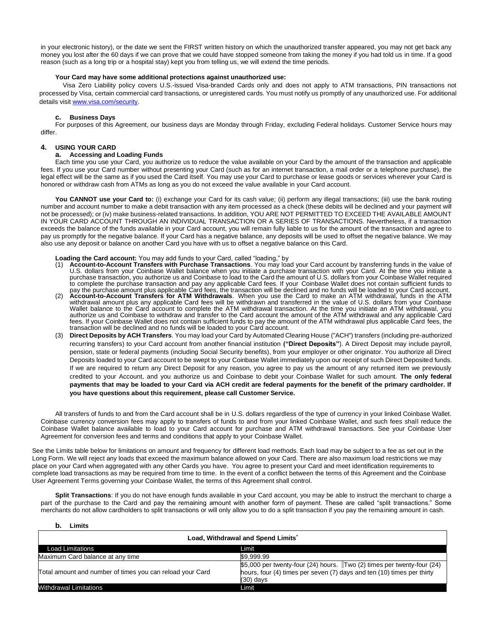in your electronic history), or the date we sent the FIRST written history on which the unauthorized transfer appeared, you may not get back any money you lost after the 60 days if we can prove that we could have stopped someone from taking the money if you had told us in time. If a good reason (such as a long trip or a hospital stay) kept you from telling us, we will extend the time periods.

## **Your Card may have some additional protections against unauthorized use:**

 Visa Zero Liability policy covers U.S.-issued Visa-branded Cards only and does not apply to ATM transactions, PIN transactions not processed by Visa, certain commercial card transactions, or unregistered cards. You must notify us promptly of any unauthorized use. For additional details visi[t www.visa.com/security.](http://www.visa.com/security)

## **c. Business Days**

For purposes of this Agreement, our business days are Monday through Friday, excluding Federal holidays. Customer Service hours may differ.

## **4. USING YOUR CARD**

## **a. Accessing and Loading Funds**

Each time you use your Card, you authorize us to reduce the value available on your Card by the amount of the transaction and applicable fees. If you use your Card number without presenting your Card (such as for an internet transaction, a mail order or a telephone purchase), the legal effect will be the same as if you used the Card itself. You may use your Card to purchase or lease goods or services wherever your Card is honored or withdraw cash from ATMs as long as you do not exceed the value available in your Card account.

**You CANNOT use your Card to:** (i) exchange your Card for its cash value; (ii) perform any illegal transactions; (iii) use the bank routing number and account number to make a debit transaction with any item processed as a check (these debits will be declined and your payment will not be processed); or (iv) make business-related transactions. In addition, YOU ARE NOT PERMITTED TO EXCEED THE AVAILABLE AMOUNT IN YOUR CARD ACCOUNT THROUGH AN INDIVIDUAL TRANSACTION OR A SERIES OF TRANSACTIONS. Nevertheless, if a transaction exceeds the balance of the funds available in your Card account, you will remain fully liable to us for the amount of the transaction and agree to pay us promptly for the negative balance. If your Card has a negative balance, any deposits will be used to offset the negative balance. We may also use any deposit or balance on another Card you have with us to offset a negative balance on this Card.

#### **Loading the Card account:** You may add funds to your Card, called "loading," by

- (1) **Account-to-Account Transfers with Purchase Transactions**. You may load your Card account by transferring funds in the value of U.S. dollars from your Coinbase Wallet balance when you initiate a purchase transaction with your Card. At the time you initiate a purchase transaction, you authorize us and Coinbase to load to the Card the amount of U.S. dollars from your Coinbase Wallet required to complete the purchase transaction and pay any applicable Card fees. If your Coinbase Wallet does not contain sufficient funds to<br>pay the purchase amount plus applicable Card fees, the transaction will be declined and no
- withdrawal amount plus any applicable Card fees will be withdrawn and transferred in the value of U.S. dollars from your Coinbase<br>Wallet balance to the Card account to complete the ATM withdrawal transaction. At the time y authorize us and Coinbase to withdraw and transfer to the Card account the amount of the ATM withdrawal and any applicable Card fees. If your Coinbase Wallet does not contain sufficient funds to pay the amount of the ATM withdrawal plus applicable Card fees, the transaction will be declined and no funds will be loaded to your Card account.
- (3) **Direct Deposits by ACH Transfers**. You may load your Card by Automated Clearing House ("ACH") transfers (including pre-authorized recurring transfers) to your Card account from another financial institution **("Direct Deposits"**). A Direct Deposit may include payroll, pension, state or federal payments (including Social Security benefits), from your employer or other originator. You authorize all Direct Deposits loaded to your Card account to be swept to your Coinbase Wallet immediately upon our receipt of such Direct Deposited funds. If we are required to return any Direct Deposit for any reason, you agree to pay us the amount of any returned item we previously credited to your Account, and you authorize us and Coinbase to debit your Coinbase Wallet for such amount. **The only federal payments that may be loaded to your Card via ACH credit are federal payments for the benefit of the primary cardholder. If you have questions about this requirement, please call Customer Service.**

All transfers of funds to and from the Card account shall be in U.S. dollars regardless of the type of currency in your linked Coinbase Wallet. Coinbase currency conversion fees may apply to transfers of funds to and from your linked Coinbase Wallet, and such fees shall reduce the Coinbase Wallet balance available to load to your Card account for purchase and ATM withdrawal transactions. See your Coinbase User Agreement for conversion fees and terms and conditions that apply to your Coinbase Wallet.

See the Limits table below for limitations on amount and frequency for different load methods. Each load may be subject to a fee as set out in the Long Form. We will reject any loads that exceed the maximum balance allowed on your Card. There are also maximum load restrictions we may place on your Card when aggregated with any other Cards you have. You agree to present your Card and meet identification requirements to complete load transactions as may be required from time to time. In the event of a conflict between the terms of this Agreement and the Coinbase User Agreement Terms governing your Coinbase Wallet, the terms of this Agreement shall control.

**Split Transactions**: If you do not have enough funds available in your Card account, you may be able to instruct the merchant to charge a part of the purchase to the Card and pay the remaining amount with another form of payment. These are called "split transactions." Some merchants do not allow cardholders to split transactions or will only allow you to do a split transaction if you pay the remaining amount in cash.

#### **b. Limits**

| Load, Withdrawal and Spend Limits*                        |                                                                                                                                                                 |  |  |
|-----------------------------------------------------------|-----------------------------------------------------------------------------------------------------------------------------------------------------------------|--|--|
| <b>Load Limitations</b>                                   | Limit                                                                                                                                                           |  |  |
| Maximum Card balance at any time                          | \$9.999.99                                                                                                                                                      |  |  |
| Total amount and number of times you can reload your Card | \$5,000 per twenty-four (24) hours. Two (2) times per twenty-four (24)<br>hours, four (4) times per seven (7) days and ten (10) times per thirty<br>$(30)$ days |  |  |
| Withdrawal Limitations                                    | Limit                                                                                                                                                           |  |  |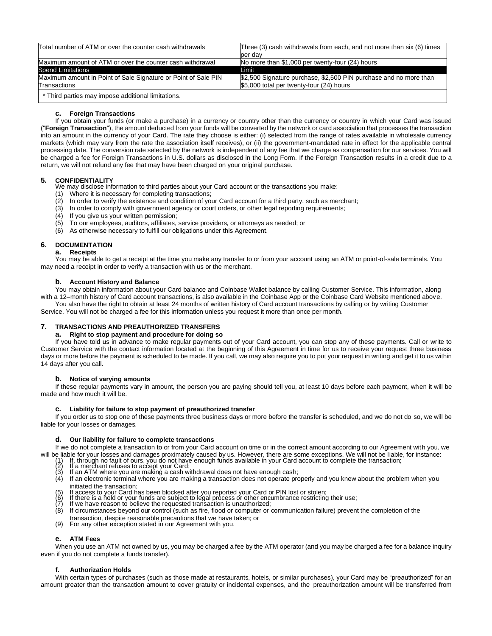Total number of ATM or over the counter cash withdrawals Three (3) cash withdrawals from each, and not more than six (6) times

|                                                                | per dav                                                           |
|----------------------------------------------------------------|-------------------------------------------------------------------|
| Maximum amount of ATM or over the counter cash withdrawal      | No more than \$1,000 per twenty-four (24) hours                   |
| Spend Limitations                                              | Limit                                                             |
| Maximum amount in Point of Sale Signature or Point of Sale PIN | \$2,500 Signature purchase, \$2,500 PIN purchase and no more than |
| Transactions                                                   | \$5,000 total per twenty-four (24) hours                          |
|                                                                |                                                                   |

\* Third parties may impose additional limitations.

## **c. Foreign Transactions**

If you obtain your funds (or make a purchase) in a currency or country other than the currency or country in which your Card was issued ("**Foreign Transaction**"), the amount deducted from your funds will be converted by the network or card association that processes the transaction into an amount in the currency of your Card. The rate they choose is either: (i) selected from the range of rates available in wholesale currency markets (which may vary from the rate the association itself receives), or (ii) the government-mandated rate in effect for the applicable central processing date. The conversion rate selected by the network is independent of any fee that we charge as compensation for our services. You will be charged a fee for Foreign Transactions in U.S. dollars as disclosed in the Long Form. If the Foreign Transaction results in a credit due to a return, we will not refund any fee that may have been charged on your original purchase.

# **5. CONFIDENTIALITY**

We may disclose information to third parties about your Card account or the transactions you make:

- (1) Where it is necessary for completing transactions;
- (2) In order to verify the existence and condition of your Card account for a third party, such as merchant;
- (3) In order to comply with government agency or court orders, or other legal reporting requirements;
- (4) If you give us your written permission;
- (5) To our employees, auditors, affiliates, service providers, or attorneys as needed; or
- (6) As otherwise necessary to fulfill our obligations under this Agreement.

# **6. DOCUMENTATION**

**a. Receipts**

You may be able to get a receipt at the time you make any transfer to or from your account using an ATM or point-of-sale terminals. You may need a receipt in order to verify a transaction with us or the merchant.

## **b. Account History and Balance**

You may obtain information about your Card balance and Coinbase Wallet balance by calling Customer Service. This information, along with a 12–month history of Card account transactions, is also available in the Coinbase App or the Coinbase Card Website mentioned above. You also have the right to obtain at least 24 months of written history of Card account transactions by calling or by writing Customer

Service. You will not be charged a fee for this information unless you request it more than once per month.

# **7. TRANSACTIONS AND PREAUTHORIZED TRANSFERS**

## **a. Right to stop payment and procedure for doing so**

If you have told us in advance to make regular payments out of your Card account, you can stop any of these payments. Call or write to Customer Service with the contact information located at the beginning of this Agreement in time for us to receive your request three business days or more before the payment is scheduled to be made. If you call, we may also require you to put your request in writing and get it to us within 14 days after you call.

# **b. Notice of varying amounts**

If these regular payments vary in amount, the person you are paying should tell you, at least 10 days before each payment, when it will be made and how much it will be.

#### **c. Liability for failure to stop payment of preauthorized transfer**

If you order us to stop one of these payments three business days or more before the transfer is scheduled, and we do not do so, we will be liable for your losses or damages.

#### **d. Our liability for failure to complete transactions**

If we do not complete a transaction to or from your Card account on time or in the correct amount according to our Agreement with you, we will be liable for your losses and damages proximately caused by us. However, there are some exceptions. We will not be liable, for instance:<br>(1) If, through no fault of ours, you do not have enough funds available in your

- (1) If, through no fault of ours, you do not have enough funds available in your Card account to complete the transaction;<br>(2) If a merchant refuses to accept your Card;
- 
- $(3)$  If an ATM where you are making a cash withdrawal does not have enough cash;<br>(4) If an electronic terminal where you are making a transaction does not operate pro If an electronic terminal where you are making a transaction does not operate properly and you knew about the problem when you initiated the transaction;
- 
- (5) If access to your Card has been blocked after you reported your Card or PIN lost or stolen;<br>(6) If there is a hold or your funds are subject to legal process or other encumbrance restricting their use;<br>(7) If we have r
- 
- (8) If circumstances beyond our control (such as fire, flood or computer or communication failure) prevent the completion of the
- transaction, despite reasonable precautions that we have taken; or
- (9) For any other exception stated in our Agreement with you.

# **e. ATM Fees**

When you use an ATM not owned by us, you may be charged a fee by the ATM operator (and you may be charged a fee for a balance inquiry even if you do not complete a funds transfer).

#### **Authorization Holds**

With certain types of purchases (such as those made at restaurants, hotels, or similar purchases), your Card may be "preauthorized" for an amount greater than the transaction amount to cover gratuity or incidental expenses, and the preauthorization amount will be transferred from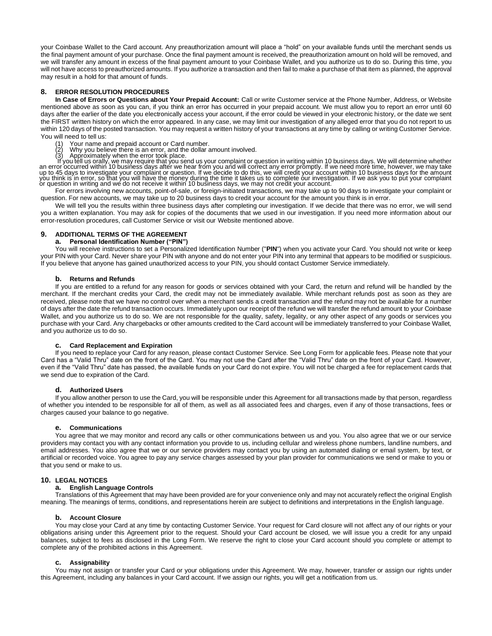your Coinbase Wallet to the Card account. Any preauthorization amount will place a "hold" on your available funds until the merchant sends us the final payment amount of your purchase. Once the final payment amount is received, the preauthorization amount on hold will be removed, and we will transfer any amount in excess of the final payment amount to your Coinbase Wallet, and you authorize us to do so. During this time, you will not have access to preauthorized amounts. If you authorize a transaction and then fail to make a purchase of that item as planned, the approval may result in a hold for that amount of funds.

# **8. ERROR RESOLUTION PROCEDURES**

**In Case of Errors or Questions about Your Prepaid Account:** Call or write Customer service at the Phone Number, Address, or Website mentioned above as soon as you can, if you think an error has occurred in your prepaid account. We must allow you to report an error until 60 days after the earlier of the date you electronically access your account, if the error could be viewed in your electronic history, or the date we sent the FIRST written history on which the error appeared. In any case, we may limit our investigation of any alleged error that you do not report to us within 120 days of the posted transaction. You may request a written history of your transactions at any time by calling or writing Customer Service. You will need to tell us:

- Your name and prepaid account or Card number.
- 
- 

(2) Why you believe there is an error, and the dollar amount involved.<br>(3) Approximately when the error took place as in error or to the dollar amount involved.<br>If you tell us orally, we may require that you send us your c

For errors involving new accounts, point-of-sale, or foreign-initiated transactions, we may take up to 90 days to investigate your complaint or question. For new accounts, we may take up to 20 business days to credit your account for the amount you think is in error.

We will tell you the results within three business days after completing our investigation. If we decide that there was no error, we will send you a written explanation. You may ask for copies of the documents that we used in our investigation. If you need more information about our error-resolution procedures, call Customer Service or visit our Website mentioned above.

#### **9. ADDITIONAL TERMS OF THE AGREEMENT**

## **a. Personal Identification Number ("PIN")**

You will receive instructions to set a Personalized Identification Number ("**PIN**") when you activate your Card. You should not write or keep your PIN with your Card. Never share your PIN with anyone and do not enter your PIN into any terminal that appears to be modified or suspicious. If you believe that anyone has gained unauthorized access to your PIN, you should contact Customer Service immediately.

#### **b. Returns and Refunds**

If you are entitled to a refund for any reason for goods or services obtained with your Card, the return and refund will be handled by the merchant. If the merchant credits your Card, the credit may not be immediately available. While merchant refunds post as soon as they are received, please note that we have no control over when a merchant sends a credit transaction and the refund may not be available for a number of days after the date the refund transaction occurs. Immediately upon our receipt of the refund we will transfer the refund amount to your Coinbase Wallet, and you authorize us to do so. We are not responsible for the quality, safety, legality, or any other aspect of any goods or services you purchase with your Card. Any chargebacks or other amounts credited to the Card account will be immediately transferred to your Coinbase Wallet, and you authorize us to do so.

## **c. Card Replacement and Expiration**

If you need to replace your Card for any reason, please contact Customer Service. See Long Form for applicable fees. Please note that your Card has a "Valid Thru" date on the front of the Card. You may not use the Card after the "Valid Thru" date on the front of your Card. However, even if the "Valid Thru" date has passed, the available funds on your Card do not expire. You will not be charged a fee for replacement cards that we send due to expiration of the Card.

#### **d. Authorized Users**

If you allow another person to use the Card, you will be responsible under this Agreement for all transactions made by that person, regardless of whether you intended to be responsible for all of them, as well as all associated fees and charges, even if any of those transactions, fees or charges caused your balance to go negative.

#### **e. Communications**

You agree that we may monitor and record any calls or other communications between us and you. You also agree that we or our service providers may contact you with any contact information you provide to us, including cellular and wireless phone numbers, landline numbers, and email addresses. You also agree that we or our service providers may contact you by using an automated dialing or email system, by text, or artificial or recorded voice. You agree to pay any service charges assessed by your plan provider for communications we send or make to you or that you send or make to us.

#### **10. LEGAL NOTICES**

#### **a. English Language Controls**

Translations of this Agreement that may have been provided are for your convenience only and may not accurately reflect the original English meaning. The meanings of terms, conditions, and representations herein are subject to definitions and interpretations in the English language.

#### **b. Account Closure**

You may close your Card at any time by contacting Customer Service. Your request for Card closure will not affect any of our rights or your obligations arising under this Agreement prior to the request. Should your Card account be closed, we will issue you a credit for any unpaid balances, subject to fees as disclosed in the Long Form. We reserve the right to close your Card account should you complete or attempt to complete any of the prohibited actions in this Agreement.

#### **c. Assignability**

You may not assign or transfer your Card or your obligations under this Agreement. We may, however, transfer or assign our rights under this Agreement, including any balances in your Card account. If we assign our rights, you will get a notification from us.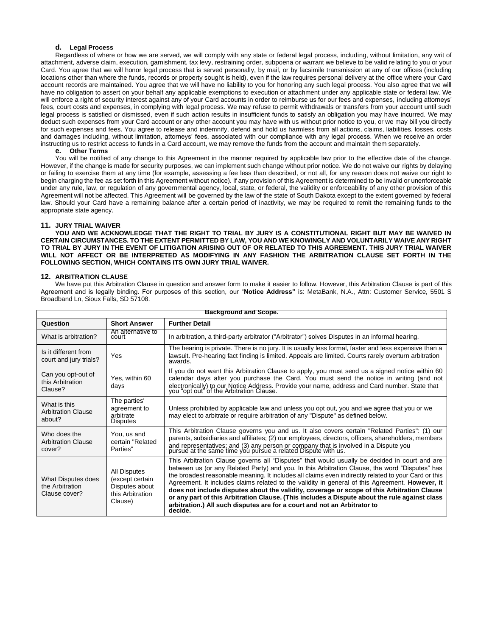## **d. Legal Process**

Regardless of where or how we are served, we will comply with any state or federal legal process, including, without limitation, any writ of attachment, adverse claim, execution, garnishment, tax levy, restraining order, subpoena or warrant we believe to be valid relating to you or your Card. You agree that we will honor legal process that is served personally, by mail, or by facsimile transmission at any of our offices (including locations other than where the funds, records or property sought is held), even if the law requires personal delivery at the office where your Card account records are maintained. You agree that we will have no liability to you for honoring any such legal process. You also agree that we will have no obligation to assert on your behalf any applicable exemptions to execution or attachment under any applicable state or federal law. We will enforce a right of security interest against any of your Card accounts in order to reimburse us for our fees and expenses, including attorneys' fees, court costs and expenses, in complying with legal process. We may refuse to permit withdrawals or transfers from your account until such legal process is satisfied or dismissed, even if such action results in insufficient funds to satisfy an obligation you may have incurred. We may deduct such expenses from your Card account or any other account you may have with us without prior notice to you, or we may bill you directly for such expenses and fees. You agree to release and indemnify, defend and hold us harmless from all actions, claims, liabilities, losses, costs and damages including, without limitation, attorneys' fees, associated with our compliance with any legal process. When we receive an order instructing us to restrict access to funds in a Card account, we may remove the funds from the account and maintain them separately.

**e. Other Terms**

You will be notified of any change to this Agreement in the manner required by applicable law prior to the effective date of the change. However, if the change is made for security purposes, we can implement such change without prior notice. We do not waive our rights by delaying or failing to exercise them at any time (for example, assessing a fee less than described, or not all, for any reason does not waive our right to begin charging the fee as set forth in this Agreement without notice). If any provision of this Agreement is determined to be invalid or unenforceable under any rule, law, or regulation of any governmental agency, local, state, or federal, the validity or enforceability of any other provision of this Agreement will not be affected. This Agreement will be governed by the law of the state of South Dakota except to the extent governed by federal law. Should your Card have a remaining balance after a certain period of inactivity, we may be required to remit the remaining funds to the appropriate state agency.

## **11. JURY TRIAL WAIVER**

**YOU AND WE ACKNOWLEDGE THAT THE RIGHT TO TRIAL BY JURY IS A CONSTITUTIONAL RIGHT BUT MAY BE WAIVED IN CERTAIN CIRCUMSTANCES. TO THE EXTENT PERMITTED BY LAW, YOU AND WE KNOWINGLY AND VOLUNTARILY WAIVE ANY RIGHT TO TRIAL BY JURY IN THE EVENT OF LITIGATION ARISING OUT OF OR RELATED TO THIS AGREEMENT. THIS JURY TRIAL WAIVER WILL NOT AFFECT OR BE INTERPRETED AS MODIFYING IN ANY FASHION THE ARBITRATION CLAUSE SET FORTH IN THE FOLLOWING SECTION, WHICH CONTAINS ITS OWN JURY TRIAL WAIVER.**

#### **12. ARBITRATION CLAUSE**

We have put this Arbitration Clause in question and answer form to make it easier to follow. However, this Arbitration Clause is part of this Agreement and is legally binding. For purposes of this section, our "**Notice Address"** is: MetaBank, N.A., Attn: Customer Service, 5501 S Broadband Ln, Sioux Falls, SD 57108.

| <b>Background and Scope.</b>                           |                                                                                  |                                                                                                                                                                                                                                                                                                                                                                                                                                                                                                                                                                                                                                                                                                  |
|--------------------------------------------------------|----------------------------------------------------------------------------------|--------------------------------------------------------------------------------------------------------------------------------------------------------------------------------------------------------------------------------------------------------------------------------------------------------------------------------------------------------------------------------------------------------------------------------------------------------------------------------------------------------------------------------------------------------------------------------------------------------------------------------------------------------------------------------------------------|
| Question                                               | <b>Short Answer</b>                                                              | <b>Further Detail</b>                                                                                                                                                                                                                                                                                                                                                                                                                                                                                                                                                                                                                                                                            |
| What is arbitration?                                   | An alternative to<br>court                                                       | In arbitration, a third-party arbitrator ("Arbitrator") solves Disputes in an informal hearing.                                                                                                                                                                                                                                                                                                                                                                                                                                                                                                                                                                                                  |
| Is it different from<br>court and jury trials?         | Yes                                                                              | The hearing is private. There is no jury. It is usually less formal, faster and less expensive than a<br>lawsuit. Pre-hearing fact finding is limited. Appeals are limited. Courts rarely overturn arbitration<br>awards.                                                                                                                                                                                                                                                                                                                                                                                                                                                                        |
| Can you opt-out of<br>this Arbitration<br>Clause?      | Yes, within 60<br>days                                                           | If you do not want this Arbitration Clause to apply, you must send us a signed notice within 60<br>calendar days after you purchase the Card. You must send the notice in writing (and not<br>electronically) to our Notice Address. Provide your name, address and Card number. State that you "opt out" of the Arbitration Clause.                                                                                                                                                                                                                                                                                                                                                             |
| What is this<br><b>Arbitration Clause</b><br>about?    | The parties'<br>agreement to<br>arbitrate<br><b>Disputes</b>                     | Unless prohibited by applicable law and unless you opt out, you and we agree that you or we<br>may elect to arbitrate or require arbitration of any "Dispute" as defined below.                                                                                                                                                                                                                                                                                                                                                                                                                                                                                                                  |
| Who does the<br><b>Arbitration Clause</b><br>cover?    | You, us and<br>certain "Related<br>Parties"                                      | This Arbitration Clause governs you and us. It also covers certain "Related Parties": (1) our<br>parents, subsidiaries and affiliates; (2) our employees, directors, officers, shareholders, members<br>and representatives; and (3) any person or company that is involved in a Dispute you pursue at the same time you pursue a related Dispute with us.                                                                                                                                                                                                                                                                                                                                       |
| What Disputes does<br>the Arbitration<br>Clause cover? | All Disputes<br>(except certain<br>Disputes about<br>this Arbitration<br>Clause) | This Arbitration Clause governs all "Disputes" that would usually be decided in court and are<br>between us (or any Related Party) and you. In this Arbitration Clause, the word "Disputes" has<br>the broadest reasonable meaning. It includes all claims even indirectly related to your Card or this<br>Agreement. It includes claims related to the validity in general of this Agreement. However, it<br>does not include disputes about the validity, coverage or scope of this Arbitration Clause<br>or any part of this Arbitration Clause. (This includes a Dispute about the rule against class<br>arbitration.) All such disputes are for a court and not an Arbitrator to<br>decide. |